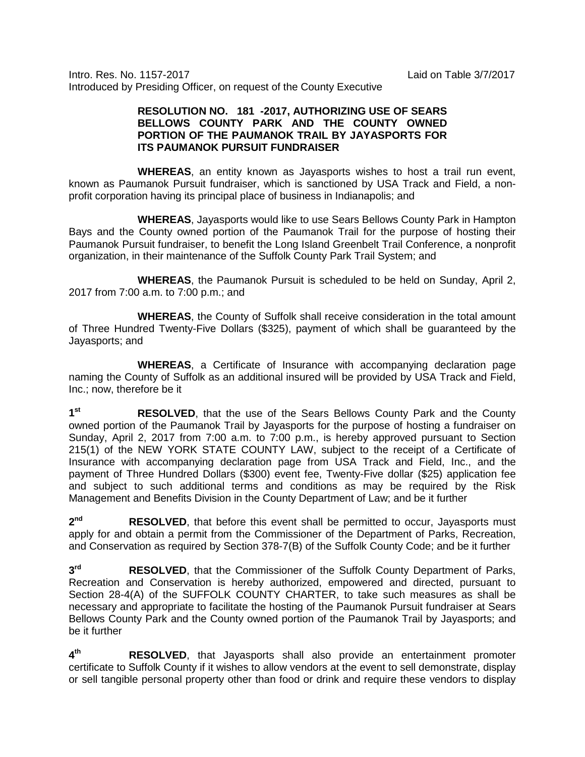Intro. Res. No. 1157-2017 Laid on Table 3/7/2017 Introduced by Presiding Officer, on request of the County Executive

## **RESOLUTION NO. 181 -2017, AUTHORIZING USE OF SEARS BELLOWS COUNTY PARK AND THE COUNTY OWNED PORTION OF THE PAUMANOK TRAIL BY JAYASPORTS FOR ITS PAUMANOK PURSUIT FUNDRAISER**

**WHEREAS**, an entity known as Jayasports wishes to host a trail run event, known as Paumanok Pursuit fundraiser, which is sanctioned by USA Track and Field, a nonprofit corporation having its principal place of business in Indianapolis; and

**WHEREAS**, Jayasports would like to use Sears Bellows County Park in Hampton Bays and the County owned portion of the Paumanok Trail for the purpose of hosting their Paumanok Pursuit fundraiser, to benefit the Long Island Greenbelt Trail Conference, a nonprofit organization, in their maintenance of the Suffolk County Park Trail System; and

**WHEREAS**, the Paumanok Pursuit is scheduled to be held on Sunday, April 2, 2017 from 7:00 a.m. to 7:00 p.m.; and

**WHEREAS**, the County of Suffolk shall receive consideration in the total amount of Three Hundred Twenty-Five Dollars (\$325), payment of which shall be guaranteed by the Jayasports; and

**WHEREAS**, a Certificate of Insurance with accompanying declaration page naming the County of Suffolk as an additional insured will be provided by USA Track and Field, Inc.; now, therefore be it

**1st RESOLVED**, that the use of the Sears Bellows County Park and the County owned portion of the Paumanok Trail by Jayasports for the purpose of hosting a fundraiser on Sunday, April 2, 2017 from 7:00 a.m. to 7:00 p.m., is hereby approved pursuant to Section 215(1) of the NEW YORK STATE COUNTY LAW, subject to the receipt of a Certificate of Insurance with accompanying declaration page from USA Track and Field, Inc., and the payment of Three Hundred Dollars (\$300) event fee, Twenty-Five dollar (\$25) application fee and subject to such additional terms and conditions as may be required by the Risk Management and Benefits Division in the County Department of Law; and be it further

**2nd RESOLVED**, that before this event shall be permitted to occur, Jayasports must apply for and obtain a permit from the Commissioner of the Department of Parks, Recreation, and Conservation as required by Section 378-7(B) of the Suffolk County Code; and be it further

**3rd RESOLVED**, that the Commissioner of the Suffolk County Department of Parks, Recreation and Conservation is hereby authorized, empowered and directed, pursuant to Section 28-4(A) of the SUFFOLK COUNTY CHARTER, to take such measures as shall be necessary and appropriate to facilitate the hosting of the Paumanok Pursuit fundraiser at Sears Bellows County Park and the County owned portion of the Paumanok Trail by Jayasports; and be it further

**4th RESOLVED**, that Jayasports shall also provide an entertainment promoter certificate to Suffolk County if it wishes to allow vendors at the event to sell demonstrate, display or sell tangible personal property other than food or drink and require these vendors to display